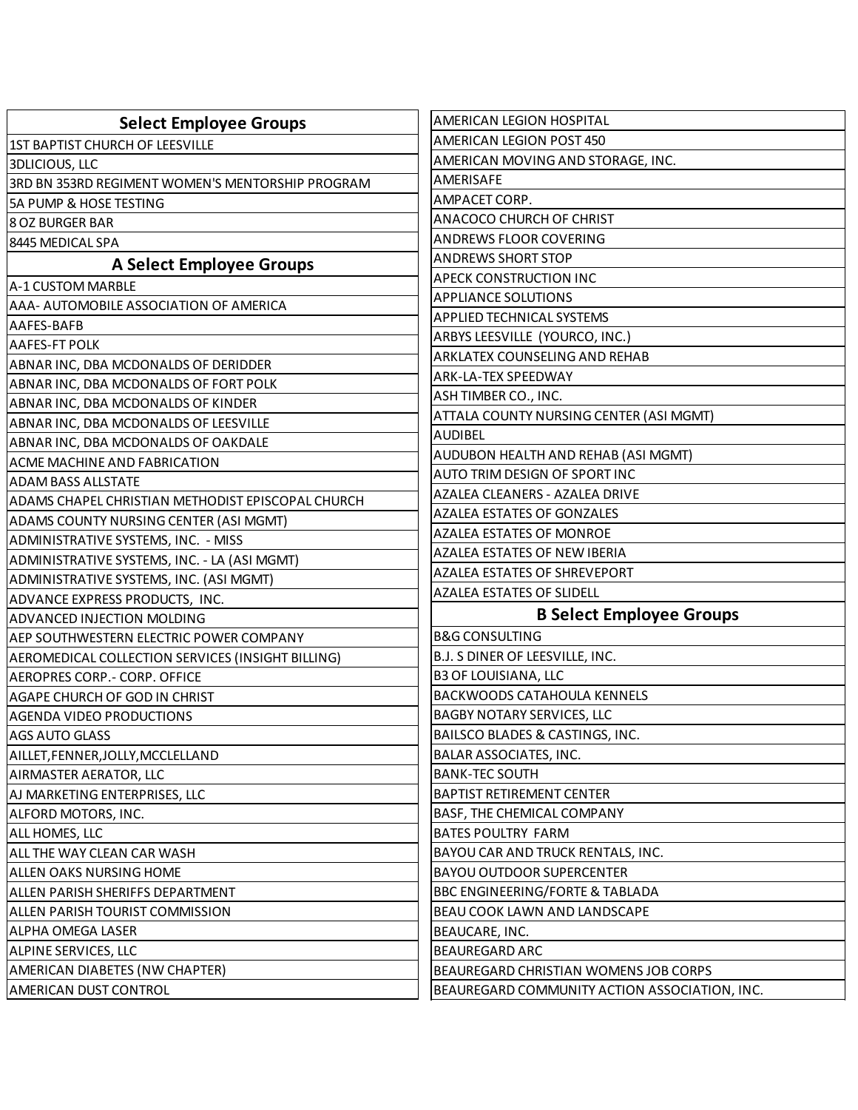| <b>Select Employee Groups</b>                     | AMERICAN LEGION HOSPITAL                      |
|---------------------------------------------------|-----------------------------------------------|
| 1ST BAPTIST CHURCH OF LEESVILLE                   | AMERICAN LEGION POST 450                      |
| <b>3DLICIOUS, LLC</b>                             | AMERICAN MOVING AND STORAGE, INC.             |
| 3RD BN 353RD REGIMENT WOMEN'S MENTORSHIP PROGRAM  | AMERISAFE                                     |
| 5A PUMP & HOSE TESTING                            | AMPACET CORP.                                 |
| <b>8 OZ BURGER BAR</b>                            | ANACOCO CHURCH OF CHRIST                      |
| 8445 MEDICAL SPA                                  | ANDREWS FLOOR COVERING                        |
| <b>A Select Employee Groups</b>                   | <b>ANDREWS SHORT STOP</b>                     |
| A-1 CUSTOM MARBLE                                 | <b>APECK CONSTRUCTION INC</b>                 |
| AAA- AUTOMOBILE ASSOCIATION OF AMERICA            | <b>APPLIANCE SOLUTIONS</b>                    |
| AAFES-BAFB                                        | <b>APPLIED TECHNICAL SYSTEMS</b>              |
| AAFES-FT POLK                                     | ARBYS LEESVILLE (YOURCO, INC.)                |
| ABNAR INC, DBA MCDONALDS OF DERIDDER              | ARKLATEX COUNSELING AND REHAB                 |
| ABNAR INC, DBA MCDONALDS OF FORT POLK             | <b>ARK-LA-TEX SPEEDWAY</b>                    |
| ABNAR INC, DBA MCDONALDS OF KINDER                | ASH TIMBER CO., INC.                          |
| ABNAR INC, DBA MCDONALDS OF LEESVILLE             | ATTALA COUNTY NURSING CENTER (ASI MGMT)       |
| ABNAR INC, DBA MCDONALDS OF OAKDALE               | <b>AUDIBEL</b>                                |
| ACME MACHINE AND FABRICATION                      | AUDUBON HEALTH AND REHAB (ASI MGMT)           |
| ADAM BASS ALLSTATE                                | AUTO TRIM DESIGN OF SPORT INC                 |
| ADAMS CHAPEL CHRISTIAN METHODIST EPISCOPAL CHURCH | AZALEA CLEANERS - AZALEA DRIVE                |
| ADAMS COUNTY NURSING CENTER (ASI MGMT)            | <b>AZALEA ESTATES OF GONZALES</b>             |
| ADMINISTRATIVE SYSTEMS, INC. - MISS               | <b>AZALEA ESTATES OF MONROE</b>               |
| ADMINISTRATIVE SYSTEMS, INC. - LA (ASI MGMT)      | <b>AZALEA ESTATES OF NEW IBERIA</b>           |
| ADMINISTRATIVE SYSTEMS, INC. (ASI MGMT)           | AZALEA ESTATES OF SHREVEPORT                  |
| ADVANCE EXPRESS PRODUCTS, INC.                    | AZALEA ESTATES OF SLIDELL                     |
| ADVANCED INJECTION MOLDING                        | <b>B Select Employee Groups</b>               |
| AEP SOUTHWESTERN ELECTRIC POWER COMPANY           | <b>B&amp;G CONSULTING</b>                     |
| AEROMEDICAL COLLECTION SERVICES (INSIGHT BILLING) | B.J. S DINER OF LEESVILLE, INC.               |
| AEROPRES CORP. - CORP. OFFICE                     | <b>B3 OF LOUISIANA, LLC</b>                   |
| AGAPE CHURCH OF GOD IN CHRIST                     | <b>BACKWOODS CATAHOULA KENNELS</b>            |
| AGENDA VIDEO PRODUCTIONS                          | <b>BAGBY NOTARY SERVICES, LLC</b>             |
| AGS AUTO GLASS                                    | BAILSCO BLADES & CASTINGS, INC.               |
| AILLET, FENNER, JOLLY, MCCLELLAND                 | BALAR ASSOCIATES, INC.                        |
| AIRMASTER AERATOR, LLC                            | <b>BANK-TEC SOUTH</b>                         |
| AJ MARKETING ENTERPRISES, LLC                     | <b>BAPTIST RETIREMENT CENTER</b>              |
| ALFORD MOTORS, INC.                               | BASF, THE CHEMICAL COMPANY                    |
| ALL HOMES, LLC                                    | <b>BATES POULTRY FARM</b>                     |
| ALL THE WAY CLEAN CAR WASH                        | BAYOU CAR AND TRUCK RENTALS, INC.             |
| ALLEN OAKS NURSING HOME                           | <b>BAYOU OUTDOOR SUPERCENTER</b>              |
| ALLEN PARISH SHERIFFS DEPARTMENT                  | <b>BBC ENGINEERING/FORTE &amp; TABLADA</b>    |
| ALLEN PARISH TOURIST COMMISSION                   | BEAU COOK LAWN AND LANDSCAPE                  |
| <b>ALPHA OMEGA LASER</b>                          | BEAUCARE, INC.                                |
| ALPINE SERVICES, LLC                              | <b>BEAUREGARD ARC</b>                         |
| AMERICAN DIABETES (NW CHAPTER)                    | BEAUREGARD CHRISTIAN WOMENS JOB CORPS         |
| AMERICAN DUST CONTROL                             | BEAUREGARD COMMUNITY ACTION ASSOCIATION, INC. |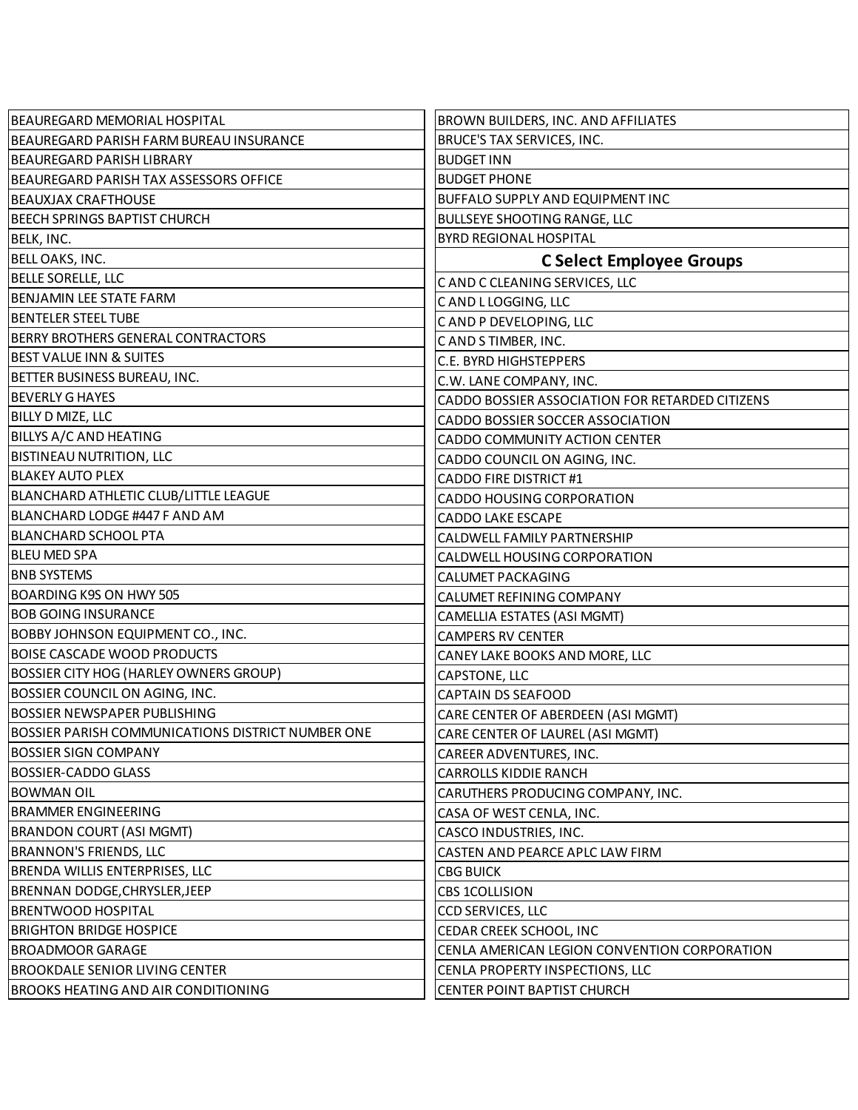| BEAUREGARD MEMORIAL HOSPITAL                             | <b>BROWN BUILDERS, INC. AND AFFILIATES</b>      |
|----------------------------------------------------------|-------------------------------------------------|
| BEAUREGARD PARISH FARM BUREAU INSURANCE                  | BRUCE'S TAX SERVICES, INC.                      |
| BEAUREGARD PARISH LIBRARY                                | <b>BUDGET INN</b>                               |
| BEAUREGARD PARISH TAX ASSESSORS OFFICE                   | <b>BUDGET PHONE</b>                             |
| BEAUXJAX CRAFTHOUSE                                      | <b>BUFFALO SUPPLY AND EQUIPMENT INC</b>         |
| <b>BEECH SPRINGS BAPTIST CHURCH</b>                      | <b>BULLSEYE SHOOTING RANGE, LLC</b>             |
| BELK, INC.                                               | <b>BYRD REGIONAL HOSPITAL</b>                   |
| <b>BELL OAKS, INC.</b>                                   | <b>C Select Employee Groups</b>                 |
| <b>BELLE SORELLE, LLC</b>                                | C AND C CLEANING SERVICES, LLC                  |
| <b>BENJAMIN LEE STATE FARM</b>                           | CAND L LOGGING, LLC                             |
| <b>BENTELER STEEL TUBE</b>                               | CAND P DEVELOPING, LLC                          |
| <b>BERRY BROTHERS GENERAL CONTRACTORS</b>                | CAND STIMBER, INC.                              |
| <b>BEST VALUE INN &amp; SUITES</b>                       | C.E. BYRD HIGHSTEPPERS                          |
| BETTER BUSINESS BUREAU, INC.                             | C.W. LANE COMPANY, INC.                         |
| <b>BEVERLY G HAYES</b>                                   | CADDO BOSSIER ASSOCIATION FOR RETARDED CITIZENS |
| <b>BILLY D MIZE, LLC</b>                                 | CADDO BOSSIER SOCCER ASSOCIATION                |
| BILLYS A/C AND HEATING                                   | CADDO COMMUNITY ACTION CENTER                   |
| <b>BISTINEAU NUTRITION, LLC</b>                          | CADDO COUNCIL ON AGING, INC.                    |
| <b>BLAKEY AUTO PLEX</b>                                  | <b>CADDO FIRE DISTRICT #1</b>                   |
| <b>BLANCHARD ATHLETIC CLUB/LITTLE LEAGUE</b>             | <b>CADDO HOUSING CORPORATION</b>                |
| BLANCHARD LODGE #447 F AND AM                            | <b>CADDO LAKE ESCAPE</b>                        |
| <b>BLANCHARD SCHOOL PTA</b>                              | CALDWELL FAMILY PARTNERSHIP                     |
| <b>BLEU MED SPA</b>                                      | CALDWELL HOUSING CORPORATION                    |
| <b>BNB SYSTEMS</b>                                       | CALUMET PACKAGING                               |
| BOARDING K9S ON HWY 505                                  | CALUMET REFINING COMPANY                        |
| <b>BOB GOING INSURANCE</b>                               | CAMELLIA ESTATES (ASI MGMT)                     |
| <b>BOBBY JOHNSON EQUIPMENT CO., INC.</b>                 | <b>CAMPERS RV CENTER</b>                        |
| <b>BOISE CASCADE WOOD PRODUCTS</b>                       | CANEY LAKE BOOKS AND MORE, LLC                  |
| BOSSIER CITY HOG (HARLEY OWNERS GROUP)                   | <b>CAPSTONE, LLC</b>                            |
| BOSSIER COUNCIL ON AGING, INC.                           | <b>CAPTAIN DS SEAFOOD</b>                       |
| <b>BOSSIER NEWSPAPER PUBLISHING</b>                      | CARE CENTER OF ABERDEEN (ASI MGMT)              |
| <b>BOSSIER PARISH COMMUNICATIONS DISTRICT NUMBER ONE</b> | CARE CENTER OF LAUREL (ASI MGMT)                |
| <b>BOSSIER SIGN COMPANY</b>                              | CAREER ADVENTURES, INC.                         |
| <b>BOSSIER-CADDO GLASS</b>                               | <b>CARROLLS KIDDIE RANCH</b>                    |
| <b>BOWMAN OIL</b>                                        | CARUTHERS PRODUCING COMPANY, INC.               |
| <b>BRAMMER ENGINEERING</b>                               | CASA OF WEST CENLA, INC.                        |
| <b>BRANDON COURT (ASI MGMT)</b>                          | CASCO INDUSTRIES, INC.                          |
| <b>BRANNON'S FRIENDS, LLC</b>                            | CASTEN AND PEARCE APLC LAW FIRM                 |
| BRENDA WILLIS ENTERPRISES, LLC                           | <b>CBG BUICK</b>                                |
| BRENNAN DODGE, CHRYSLER, JEEP                            | <b>CBS 1COLLISION</b>                           |
| <b>BRENTWOOD HOSPITAL</b>                                | CCD SERVICES, LLC                               |
| <b>BRIGHTON BRIDGE HOSPICE</b>                           | CEDAR CREEK SCHOOL, INC                         |
| <b>BROADMOOR GARAGE</b>                                  | CENLA AMERICAN LEGION CONVENTION CORPORATION    |
| <b>BROOKDALE SENIOR LIVING CENTER</b>                    | CENLA PROPERTY INSPECTIONS, LLC                 |
| <b>BROOKS HEATING AND AIR CONDITIONING</b>               | CENTER POINT BAPTIST CHURCH                     |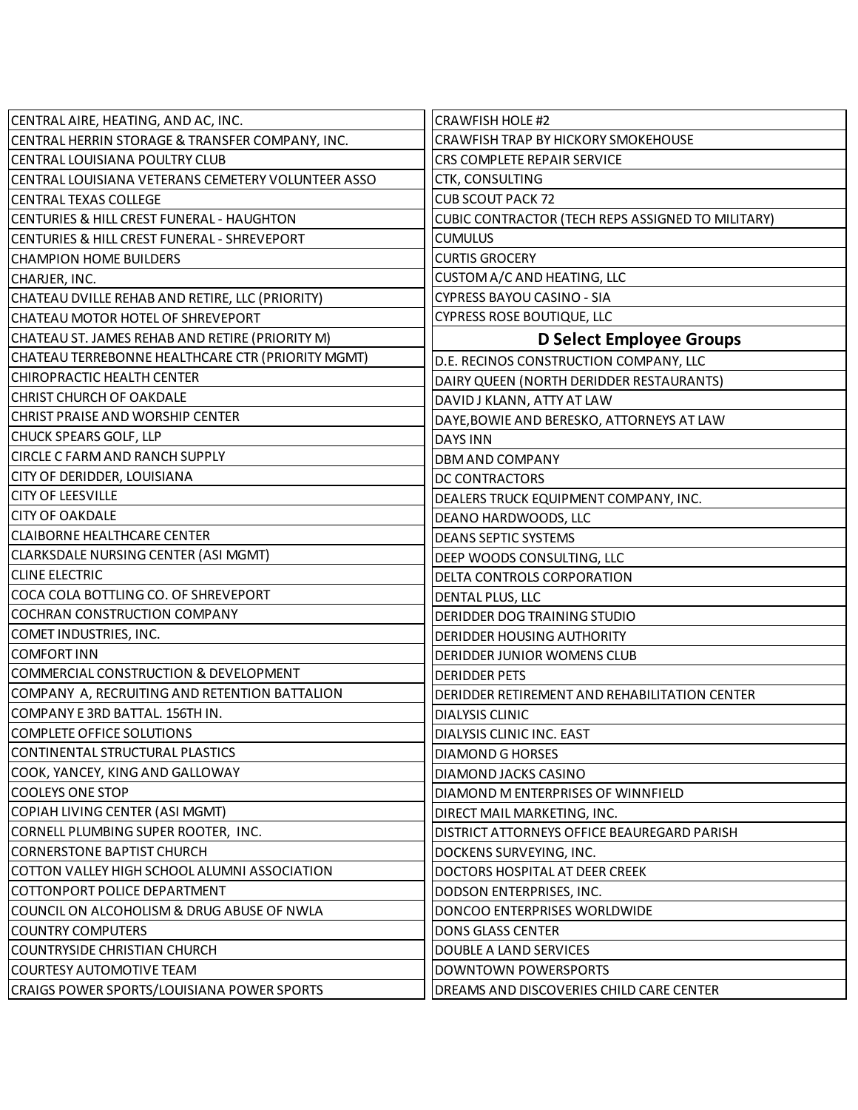| CENTRAL AIRE, HEATING, AND AC, INC.                | <b>CRAWFISH HOLE #2</b>                           |
|----------------------------------------------------|---------------------------------------------------|
| CENTRAL HERRIN STORAGE & TRANSFER COMPANY, INC.    | CRAWFISH TRAP BY HICKORY SMOKEHOUSE               |
| CENTRAL LOUISIANA POULTRY CLUB                     | CRS COMPLETE REPAIR SERVICE                       |
| CENTRAL LOUISIANA VETERANS CEMETERY VOLUNTEER ASSO | CTK, CONSULTING                                   |
| CENTRAL TEXAS COLLEGE                              | <b>CUB SCOUT PACK 72</b>                          |
| CENTURIES & HILL CREST FUNERAL - HAUGHTON          | CUBIC CONTRACTOR (TECH REPS ASSIGNED TO MILITARY) |
| CENTURIES & HILL CREST FUNERAL - SHREVEPORT        | <b>CUMULUS</b>                                    |
| <b>CHAMPION HOME BUILDERS</b>                      | <b>CURTIS GROCERY</b>                             |
| CHARJER, INC.                                      | CUSTOM A/C AND HEATING, LLC                       |
| CHATEAU DVILLE REHAB AND RETIRE, LLC (PRIORITY)    | <b>CYPRESS BAYOU CASINO - SIA</b>                 |
| CHATEAU MOTOR HOTEL OF SHREVEPORT                  | CYPRESS ROSE BOUTIQUE, LLC                        |
| CHATEAU ST. JAMES REHAB AND RETIRE (PRIORITY M)    | <b>D Select Employee Groups</b>                   |
| CHATEAU TERREBONNE HEALTHCARE CTR (PRIORITY MGMT)  | D.E. RECINOS CONSTRUCTION COMPANY, LLC            |
| CHIROPRACTIC HEALTH CENTER                         | DAIRY QUEEN (NORTH DERIDDER RESTAURANTS)          |
| <b>CHRIST CHURCH OF OAKDALE</b>                    | DAVID J KLANN, ATTY AT LAW                        |
| <b>CHRIST PRAISE AND WORSHIP CENTER</b>            | DAYE, BOWIE AND BERESKO, ATTORNEYS AT LAW         |
| CHUCK SPEARS GOLF, LLP                             | <b>DAYS INN</b>                                   |
| <b>CIRCLE C FARM AND RANCH SUPPLY</b>              | DBM AND COMPANY                                   |
| CITY OF DERIDDER, LOUISIANA                        | DC CONTRACTORS                                    |
| <b>CITY OF LEESVILLE</b>                           | DEALERS TRUCK EQUIPMENT COMPANY, INC.             |
| <b>CITY OF OAKDALE</b>                             | DEANO HARDWOODS, LLC                              |
| <b>CLAIBORNE HEALTHCARE CENTER</b>                 | <b>DEANS SEPTIC SYSTEMS</b>                       |
| CLARKSDALE NURSING CENTER (ASI MGMT)               | DEEP WOODS CONSULTING, LLC                        |
| <b>CLINE ELECTRIC</b>                              | DELTA CONTROLS CORPORATION                        |
| COCA COLA BOTTLING CO. OF SHREVEPORT               | DENTAL PLUS, LLC                                  |
| <b>COCHRAN CONSTRUCTION COMPANY</b>                | DERIDDER DOG TRAINING STUDIO                      |
| COMET INDUSTRIES, INC.                             | <b>DERIDDER HOUSING AUTHORITY</b>                 |
| <b>COMFORT INN</b>                                 | DERIDDER JUNIOR WOMENS CLUB                       |
| COMMERCIAL CONSTRUCTION & DEVELOPMENT              | <b>DERIDDER PETS</b>                              |
| COMPANY A, RECRUITING AND RETENTION BATTALION      | DERIDDER RETIREMENT AND REHABILITATION CENTER     |
| COMPANY E 3RD BATTAL. 156TH IN.                    | <b>DIALYSIS CLINIC</b>                            |
| COMPLETE OFFICE SOLUTIONS                          | DIALYSIS CLINIC INC. EAST                         |
| CONTINENTAL STRUCTURAL PLASTICS                    | <b>DIAMOND G HORSES</b>                           |
| COOK, YANCEY, KING AND GALLOWAY                    | DIAMOND JACKS CASINO                              |
| <b>COOLEYS ONE STOP</b>                            | DIAMOND M ENTERPRISES OF WINNFIELD                |
| COPIAH LIVING CENTER (ASI MGMT)                    | DIRECT MAIL MARKETING, INC.                       |
| CORNELL PLUMBING SUPER ROOTER, INC.                | DISTRICT ATTORNEYS OFFICE BEAUREGARD PARISH       |
| <b>CORNERSTONE BAPTIST CHURCH</b>                  | DOCKENS SURVEYING, INC.                           |
| COTTON VALLEY HIGH SCHOOL ALUMNI ASSOCIATION       | DOCTORS HOSPITAL AT DEER CREEK                    |
| COTTONPORT POLICE DEPARTMENT                       | DODSON ENTERPRISES, INC.                          |
| COUNCIL ON ALCOHOLISM & DRUG ABUSE OF NWLA         | DONCOO ENTERPRISES WORLDWIDE                      |
| <b>COUNTRY COMPUTERS</b>                           | <b>DONS GLASS CENTER</b>                          |
| COUNTRYSIDE CHRISTIAN CHURCH                       | DOUBLE A LAND SERVICES                            |
| COURTESY AUTOMOTIVE TEAM                           | DOWNTOWN POWERSPORTS                              |
| CRAIGS POWER SPORTS/LOUISIANA POWER SPORTS         | DREAMS AND DISCOVERIES CHILD CARE CENTER          |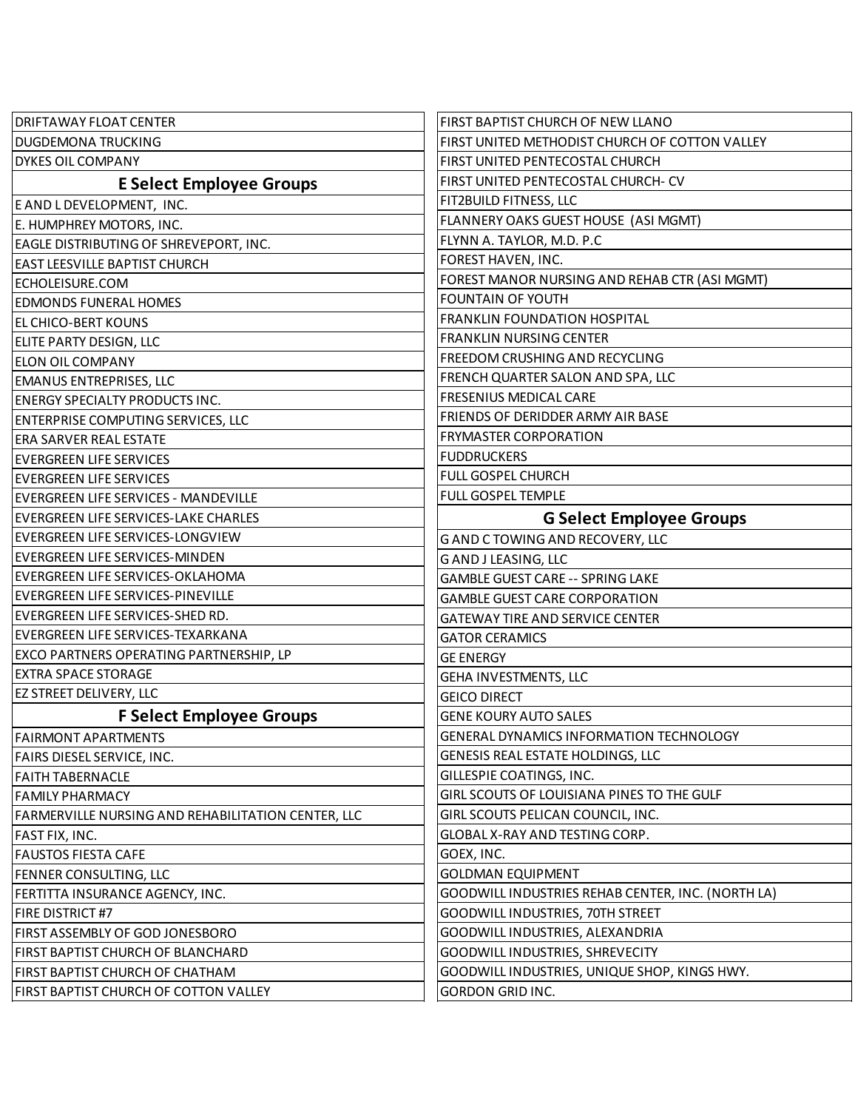| <b>DRIFTAWAY FLOAT CENTER</b>                      | FIRST BAPTIST CHURCH OF NEW LLANO                 |
|----------------------------------------------------|---------------------------------------------------|
| <b>DUGDEMONA TRUCKING</b>                          | FIRST UNITED METHODIST CHURCH OF COTTON VALLEY    |
| <b>DYKES OIL COMPANY</b>                           | FIRST UNITED PENTECOSTAL CHURCH                   |
| <b>E Select Employee Groups</b>                    | FIRST UNITED PENTECOSTAL CHURCH- CV               |
| E AND L DEVELOPMENT, INC.                          | FIT2BUILD FITNESS, LLC                            |
| E. HUMPHREY MOTORS, INC.                           | FLANNERY OAKS GUEST HOUSE (ASI MGMT)              |
| EAGLE DISTRIBUTING OF SHREVEPORT, INC.             | FLYNN A. TAYLOR, M.D. P.C                         |
| <b>EAST LEESVILLE BAPTIST CHURCH</b>               | FOREST HAVEN, INC.                                |
| ECHOLEISURE.COM                                    | FOREST MANOR NURSING AND REHAB CTR (ASI MGMT)     |
| <b>EDMONDS FUNERAL HOMES</b>                       | <b>FOUNTAIN OF YOUTH</b>                          |
| <b>EL CHICO-BERT KOUNS</b>                         | <b>FRANKLIN FOUNDATION HOSPITAL</b>               |
| ELITE PARTY DESIGN, LLC                            | <b>FRANKLIN NURSING CENTER</b>                    |
| ELON OIL COMPANY                                   | FREEDOM CRUSHING AND RECYCLING                    |
| <b>EMANUS ENTREPRISES, LLC</b>                     | FRENCH QUARTER SALON AND SPA, LLC                 |
| <b>ENERGY SPECIALTY PRODUCTS INC.</b>              | <b>FRESENIUS MEDICAL CARE</b>                     |
| <b>ENTERPRISE COMPUTING SERVICES, LLC</b>          | FRIENDS OF DERIDDER ARMY AIR BASE                 |
| <b>ERA SARVER REAL ESTATE</b>                      | <b>FRYMASTER CORPORATION</b>                      |
| <b>EVERGREEN LIFE SERVICES</b>                     | <b>FUDDRUCKERS</b>                                |
| <b>EVERGREEN LIFE SERVICES</b>                     | FULL GOSPEL CHURCH                                |
| EVERGREEN LIFE SERVICES - MANDEVILLE               | <b>FULL GOSPEL TEMPLE</b>                         |
| EVERGREEN LIFE SERVICES-LAKE CHARLES               | <b>G Select Employee Groups</b>                   |
| EVERGREEN LIFE SERVICES-LONGVIEW                   | G AND C TOWING AND RECOVERY, LLC                  |
| <b>EVERGREEN LIFE SERVICES-MINDEN</b>              | <b>GAND JLEASING, LLC</b>                         |
| EVERGREEN LIFE SERVICES-OKLAHOMA                   | <b>GAMBLE GUEST CARE -- SPRING LAKE</b>           |
| EVERGREEN LIFE SERVICES-PINEVILLE                  | <b>GAMBLE GUEST CARE CORPORATION</b>              |
| EVERGREEN LIFE SERVICES-SHED RD.                   | <b>GATEWAY TIRE AND SERVICE CENTER</b>            |
| EVERGREEN LIFE SERVICES-TEXARKANA                  | <b>GATOR CERAMICS</b>                             |
| <b>EXCO PARTNERS OPERATING PARTNERSHIP, LP</b>     | <b>GE ENERGY</b>                                  |
| <b>EXTRA SPACE STORAGE</b>                         | GEHA INVESTMENTS, LLC                             |
| <b>EZ STREET DELIVERY, LLC</b>                     | <b>GEICO DIRECT</b>                               |
| <b>F Select Employee Groups</b>                    | <b>GENE KOURY AUTO SALES</b>                      |
| <b>FAIRMONT APARTMENTS</b>                         | <b>GENERAL DYNAMICS INFORMATION TECHNOLOGY</b>    |
| FAIRS DIESEL SERVICE, INC.                         | GENESIS REAL ESTATE HOLDINGS, LLC                 |
| <b>FAITH TABERNACLE</b>                            | GILLESPIE COATINGS, INC.                          |
| <b>FAMILY PHARMACY</b>                             | GIRL SCOUTS OF LOUISIANA PINES TO THE GULF        |
| FARMERVILLE NURSING AND REHABILITATION CENTER, LLC | GIRL SCOUTS PELICAN COUNCIL, INC.                 |
| FAST FIX, INC.                                     | GLOBAL X-RAY AND TESTING CORP.                    |
| <b>FAUSTOS FIESTA CAFE</b>                         | GOEX, INC.                                        |
| FENNER CONSULTING, LLC                             | <b>GOLDMAN EQUIPMENT</b>                          |
| FERTITTA INSURANCE AGENCY, INC.                    | GOODWILL INDUSTRIES REHAB CENTER, INC. (NORTH LA) |
| FIRE DISTRICT #7                                   | GOODWILL INDUSTRIES, 70TH STREET                  |
| FIRST ASSEMBLY OF GOD JONESBORO                    | GOODWILL INDUSTRIES, ALEXANDRIA                   |
| FIRST BAPTIST CHURCH OF BLANCHARD                  | GOODWILL INDUSTRIES, SHREVECITY                   |
| FIRST BAPTIST CHURCH OF CHATHAM                    | GOODWILL INDUSTRIES, UNIQUE SHOP, KINGS HWY.      |
| FIRST BAPTIST CHURCH OF COTTON VALLEY              | <b>GORDON GRID INC.</b>                           |
|                                                    |                                                   |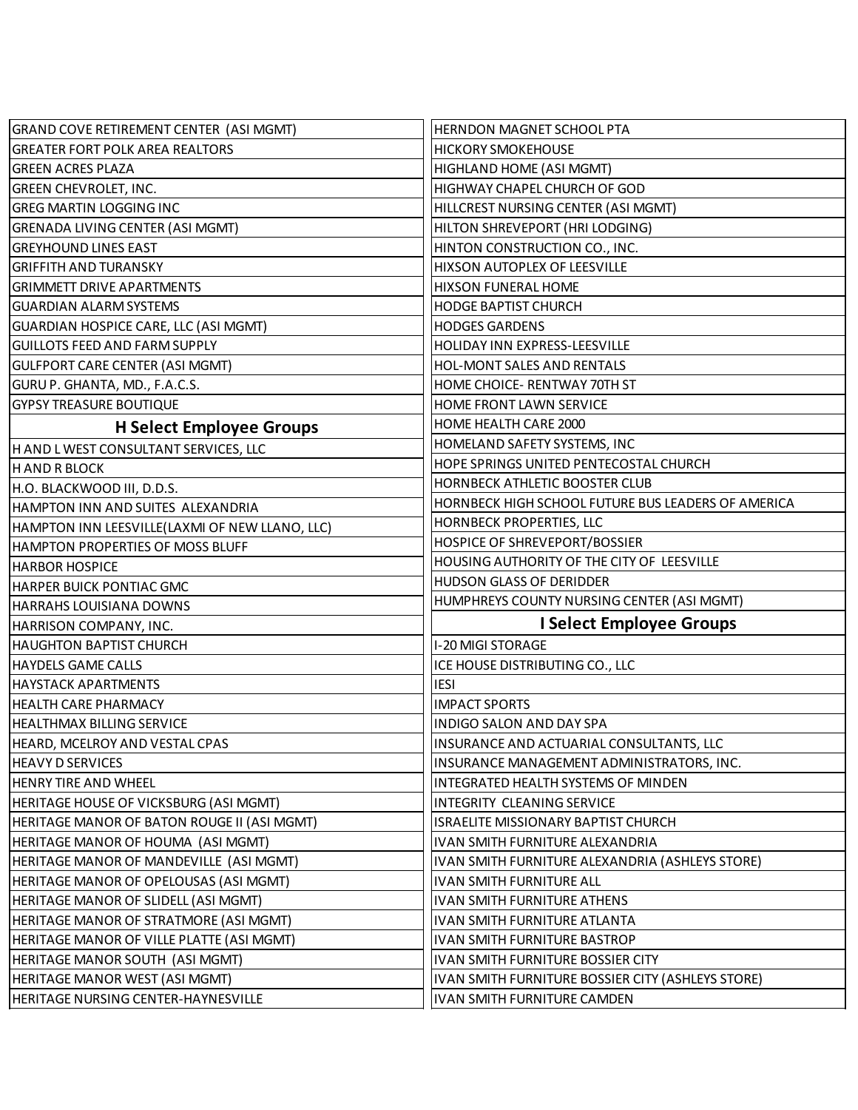| <b>GRAND COVE RETIREMENT CENTER (ASI MGMT)</b> | HERNDON MAGNET SCHOOL PTA                          |
|------------------------------------------------|----------------------------------------------------|
| <b>GREATER FORT POLK AREA REALTORS</b>         | <b>HICKORY SMOKEHOUSE</b>                          |
| <b>GREEN ACRES PLAZA</b>                       | HIGHLAND HOME (ASI MGMT)                           |
| GREEN CHEVROLET, INC.                          | HIGHWAY CHAPEL CHURCH OF GOD                       |
| GREG MARTIN LOGGING INC                        | HILLCREST NURSING CENTER (ASI MGMT)                |
| GRENADA LIVING CENTER (ASI MGMT)               | HILTON SHREVEPORT (HRI LODGING)                    |
| <b>GREYHOUND LINES EAST</b>                    | HINTON CONSTRUCTION CO., INC.                      |
| GRIFFITH AND TURANSKY                          | HIXSON AUTOPLEX OF LEESVILLE                       |
| <b>GRIMMETT DRIVE APARTMENTS</b>               | <b>HIXSON FUNERAL HOME</b>                         |
| GUARDIAN ALARM SYSTEMS                         | <b>HODGE BAPTIST CHURCH</b>                        |
| GUARDIAN HOSPICE CARE, LLC (ASI MGMT)          | <b>HODGES GARDENS</b>                              |
| <b>GUILLOTS FEED AND FARM SUPPLY</b>           | HOLIDAY INN EXPRESS-LEESVILLE                      |
| GULFPORT CARE CENTER (ASI MGMT)                | HOL-MONT SALES AND RENTALS                         |
| GURU P. GHANTA, MD., F.A.C.S.                  | HOME CHOICE- RENTWAY 70TH ST                       |
| <b>GYPSY TREASURE BOUTIQUE</b>                 | HOME FRONT LAWN SERVICE                            |
| <b>H</b> Select Employee Groups                | HOME HEALTH CARE 2000                              |
| H AND L WEST CONSULTANT SERVICES, LLC          | HOMELAND SAFETY SYSTEMS, INC                       |
| H AND R BLOCK                                  | HOPE SPRINGS UNITED PENTECOSTAL CHURCH             |
| H.O. BLACKWOOD III, D.D.S.                     | HORNBECK ATHLETIC BOOSTER CLUB                     |
| HAMPTON INN AND SUITES ALEXANDRIA              | HORNBECK HIGH SCHOOL FUTURE BUS LEADERS OF AMERICA |
| HAMPTON INN LEESVILLE(LAXMI OF NEW LLANO, LLC) | <b>HORNBECK PROPERTIES, LLC</b>                    |
| HAMPTON PROPERTIES OF MOSS BLUFF               | HOSPICE OF SHREVEPORT/BOSSIER                      |
| HARBOR HOSPICE                                 | HOUSING AUTHORITY OF THE CITY OF LEESVILLE         |
| HARPER BUICK PONTIAC GMC                       | HUDSON GLASS OF DERIDDER                           |
| HARRAHS LOUISIANA DOWNS                        | HUMPHREYS COUNTY NURSING CENTER (ASI MGMT)         |
| HARRISON COMPANY, INC.                         | <b>I Select Employee Groups</b>                    |
| <b>HAUGHTON BAPTIST CHURCH</b>                 | I-20 MIGI STORAGE                                  |
| <b>HAYDELS GAME CALLS</b>                      | ICE HOUSE DISTRIBUTING CO., LLC                    |
| HAYSTACK APARTMENTS                            | <b>IESI</b>                                        |
| <b>HEALTH CARE PHARMACY</b>                    | <b>IMPACT SPORTS</b>                               |
| <b>HEALTHMAX BILLING SERVICE</b>               | INDIGO SALON AND DAY SPA                           |
| HEARD, MCELROY AND VESTAL CPAS                 | INSURANCE AND ACTUARIAL CONSULTANTS, LLC           |
| <b>HEAVY D SERVICES</b>                        | INSURANCE MANAGEMENT ADMINISTRATORS, INC.          |
| <b>HENRY TIRE AND WHEEL</b>                    | INTEGRATED HEALTH SYSTEMS OF MINDEN                |
| HERITAGE HOUSE OF VICKSBURG (ASI MGMT)         | INTEGRITY CLEANING SERVICE                         |
| HERITAGE MANOR OF BATON ROUGE II (ASI MGMT)    | ISRAELITE MISSIONARY BAPTIST CHURCH                |
| HERITAGE MANOR OF HOUMA (ASI MGMT)             | IVAN SMITH FURNITURE ALEXANDRIA                    |
| HERITAGE MANOR OF MANDEVILLE (ASI MGMT)        | IVAN SMITH FURNITURE ALEXANDRIA (ASHLEYS STORE)    |
| HERITAGE MANOR OF OPELOUSAS (ASI MGMT)         | <b>IVAN SMITH FURNITURE ALL</b>                    |
| HERITAGE MANOR OF SLIDELL (ASI MGMT)           | <b>IVAN SMITH FURNITURE ATHENS</b>                 |
| HERITAGE MANOR OF STRATMORE (ASI MGMT)         | IVAN SMITH FURNITURE ATLANTA                       |
| HERITAGE MANOR OF VILLE PLATTE (ASI MGMT)      | IVAN SMITH FURNITURE BASTROP                       |
| HERITAGE MANOR SOUTH (ASI MGMT)                | IVAN SMITH FURNITURE BOSSIER CITY                  |
| HERITAGE MANOR WEST (ASI MGMT)                 | IVAN SMITH FURNITURE BOSSIER CITY (ASHLEYS STORE)  |
|                                                |                                                    |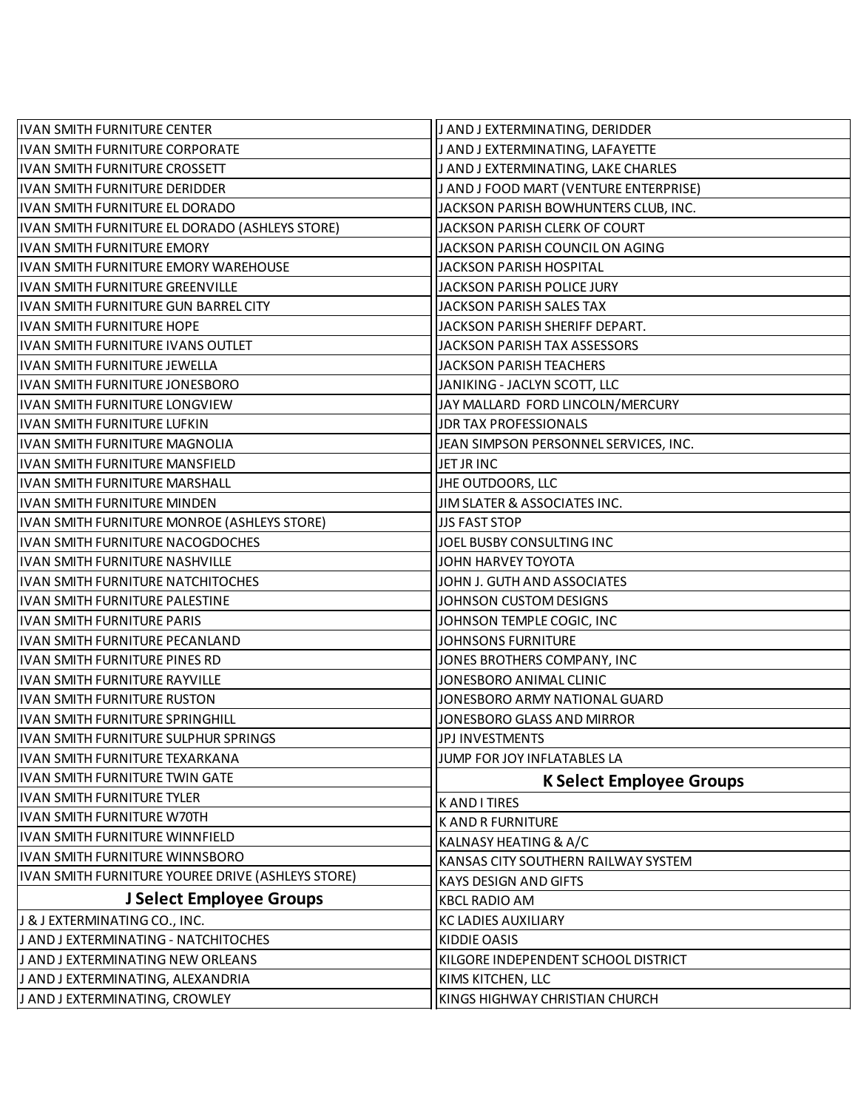| IVAN SMITH FURNITURE CENTER                       | J AND J EXTERMINATING, DERIDDER        |
|---------------------------------------------------|----------------------------------------|
| IVAN SMITH FURNITURE CORPORATE                    | J AND J EXTERMINATING, LAFAYETTE       |
| IVAN SMITH FURNITURE CROSSETT                     | J AND J EXTERMINATING, LAKE CHARLES    |
| IVAN SMITH FURNITURE DERIDDER                     | J AND J FOOD MART (VENTURE ENTERPRISE) |
| IVAN SMITH FURNITURE EL DORADO                    | JACKSON PARISH BOWHUNTERS CLUB, INC.   |
| IVAN SMITH FURNITURE EL DORADO (ASHLEYS STORE)    | JACKSON PARISH CLERK OF COURT          |
| IVAN SMITH FURNITURE EMORY                        | JACKSON PARISH COUNCIL ON AGING        |
| IVAN SMITH FURNITURE EMORY WAREHOUSE              | JACKSON PARISH HOSPITAL                |
| IVAN SMITH FURNITURE GREENVILLE                   | JACKSON PARISH POLICE JURY             |
| IVAN SMITH FURNITURE GUN BARREL CITY              | <b>JACKSON PARISH SALES TAX</b>        |
| IVAN SMITH FURNITURE HOPE                         | JACKSON PARISH SHERIFF DEPART.         |
| IVAN SMITH FURNITURE IVANS OUTLET                 | <b>JACKSON PARISH TAX ASSESSORS</b>    |
| IVAN SMITH FURNITURE JEWELLA                      | <b>JACKSON PARISH TEACHERS</b>         |
| IVAN SMITH FURNITURE JONESBORO                    | JANIKING - JACLYN SCOTT, LLC           |
| IVAN SMITH FURNITURE LONGVIEW                     | JAY MALLARD FORD LINCOLN/MERCURY       |
| IVAN SMITH FURNITURE LUFKIN                       | <b>JDR TAX PROFESSIONALS</b>           |
| IVAN SMITH FURNITURE MAGNOLIA                     | JEAN SIMPSON PERSONNEL SERVICES, INC.  |
| IVAN SMITH FURNITURE MANSFIELD                    | JET JR INC                             |
| IVAN SMITH FURNITURE MARSHALL                     | JHE OUTDOORS, LLC                      |
| <b>IVAN SMITH FURNITURE MINDEN</b>                | JIM SLATER & ASSOCIATES INC.           |
| IVAN SMITH FURNITURE MONROE (ASHLEYS STORE)       | <b>JJS FAST STOP</b>                   |
| IVAN SMITH FURNITURE NACOGDOCHES                  | JOEL BUSBY CONSULTING INC              |
| IVAN SMITH FURNITURE NASHVILLE                    | JOHN HARVEY TOYOTA                     |
| IVAN SMITH FURNITURE NATCHITOCHES                 | JOHN J. GUTH AND ASSOCIATES            |
| IVAN SMITH FURNITURE PALESTINE                    | JOHNSON CUSTOM DESIGNS                 |
| <b>IVAN SMITH FURNITURE PARIS</b>                 | JOHNSON TEMPLE COGIC, INC              |
| IVAN SMITH FURNITURE PECANLAND                    | <b>JOHNSONS FURNITURE</b>              |
| IVAN SMITH FURNITURE PINES RD                     | JONES BROTHERS COMPANY, INC            |
| IVAN SMITH FURNITURE RAYVILLE                     | JONESBORO ANIMAL CLINIC                |
| IVAN SMITH FURNITURE RUSTON                       | JONESBORO ARMY NATIONAL GUARD          |
| IVAN SMITH FURNITURE SPRINGHILL                   | JONESBORO GLASS AND MIRROR             |
| IVAN SMITH FURNITURE SULPHUR SPRINGS              | JPJ INVESTMENTS                        |
| IVAN SMITH FURNITURE TEXARKANA                    | JUMP FOR JOY INFLATABLES LA            |
| IVAN SMITH FURNITURE TWIN GATE                    | <b>K Select Employee Groups</b>        |
| IVAN SMITH FURNITURE TYLER                        | K AND I TIRES                          |
| IVAN SMITH FURNITURE W70TH                        | <b>K AND R FURNITURE</b>               |
| IVAN SMITH FURNITURE WINNFIELD                    | KALNASY HEATING & A/C                  |
| IVAN SMITH FURNITURE WINNSBORO                    | KANSAS CITY SOUTHERN RAILWAY SYSTEM    |
| IVAN SMITH FURNITURE YOUREE DRIVE (ASHLEYS STORE) | KAYS DESIGN AND GIFTS                  |
| J Select Employee Groups                          | <b>KBCL RADIO AM</b>                   |
| J & J EXTERMINATING CO., INC.                     | <b>KC LADIES AUXILIARY</b>             |
| J AND J EXTERMINATING - NATCHITOCHES              | <b>KIDDIE OASIS</b>                    |
| J AND J EXTERMINATING NEW ORLEANS                 | KILGORE INDEPENDENT SCHOOL DISTRICT    |
| J AND J EXTERMINATING, ALEXANDRIA                 | KIMS KITCHEN, LLC                      |
| J AND J EXTERMINATING, CROWLEY                    | KINGS HIGHWAY CHRISTIAN CHURCH         |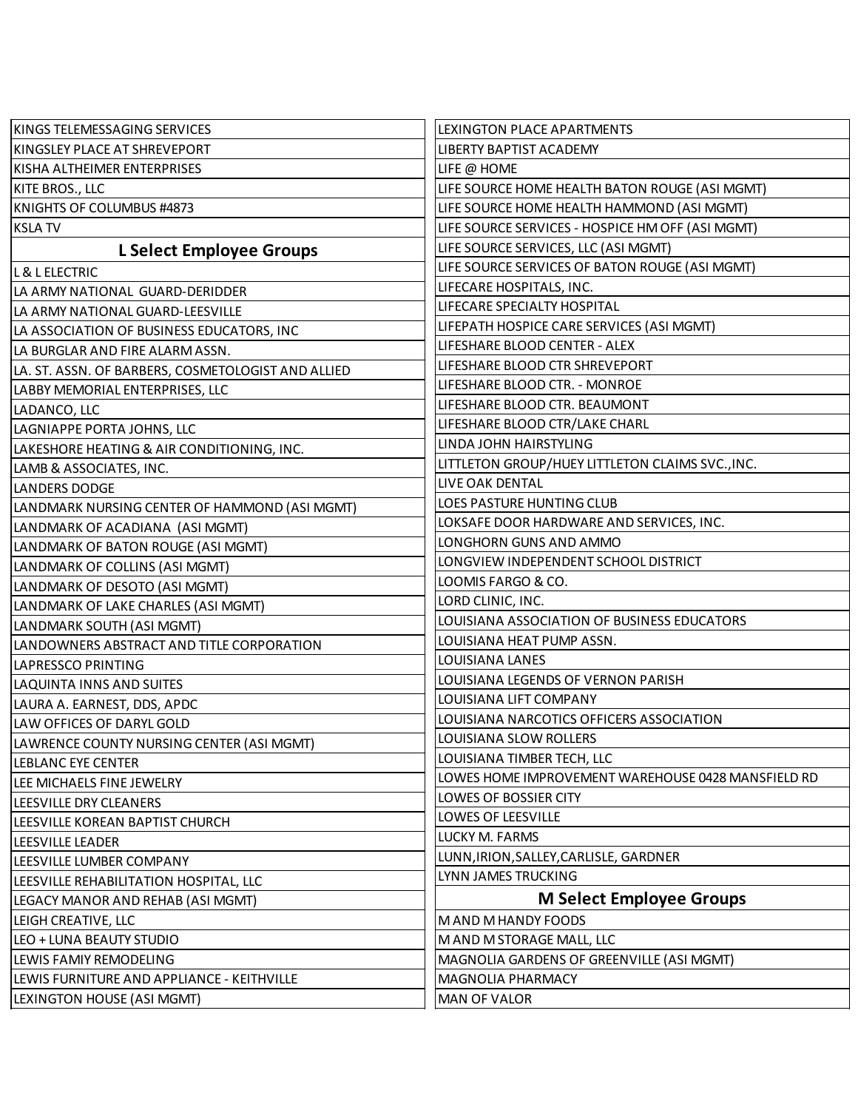| KINGS TELEMESSAGING SERVICES                       | LEXINGTON PLACE APARTMENTS                         |
|----------------------------------------------------|----------------------------------------------------|
| KINGSLEY PLACE AT SHREVEPORT                       | LIBERTY BAPTIST ACADEMY                            |
| KISHA ALTHEIMER ENTERPRISES                        | LIFE @ HOME                                        |
| KITE BROS., LLC                                    | LIFE SOURCE HOME HEALTH BATON ROUGE (ASI MGMT)     |
| KNIGHTS OF COLUMBUS #4873                          | LIFE SOURCE HOME HEALTH HAMMOND (ASI MGMT)         |
| <b>KSLATV</b>                                      | LIFE SOURCE SERVICES - HOSPICE HM OFF (ASI MGMT)   |
| L Select Employee Groups                           | LIFE SOURCE SERVICES, LLC (ASI MGMT)               |
| L & L ELECTRIC                                     | LIFE SOURCE SERVICES OF BATON ROUGE (ASI MGMT)     |
| LA ARMY NATIONAL GUARD-DERIDDER                    | LIFECARE HOSPITALS, INC.                           |
| LA ARMY NATIONAL GUARD-LEESVILLE                   | LIFECARE SPECIALTY HOSPITAL                        |
| LA ASSOCIATION OF BUSINESS EDUCATORS, INC          | LIFEPATH HOSPICE CARE SERVICES (ASI MGMT)          |
| LA BURGLAR AND FIRE ALARM ASSN.                    | LIFESHARE BLOOD CENTER - ALEX                      |
| LA. ST. ASSN. OF BARBERS, COSMETOLOGIST AND ALLIED | LIFESHARE BLOOD CTR SHREVEPORT                     |
| LABBY MEMORIAL ENTERPRISES, LLC                    | LIFESHARE BLOOD CTR. - MONROE                      |
| LADANCO, LLC                                       | LIFESHARE BLOOD CTR. BEAUMONT                      |
| LAGNIAPPE PORTA JOHNS, LLC                         | LIFESHARE BLOOD CTR/LAKE CHARL                     |
| LAKESHORE HEATING & AIR CONDITIONING, INC.         | LINDA JOHN HAIRSTYLING                             |
| LAMB & ASSOCIATES, INC.                            | LITTLETON GROUP/HUEY LITTLETON CLAIMS SVC., INC.   |
| <b>LANDERS DODGE</b>                               | LIVE OAK DENTAL                                    |
| LANDMARK NURSING CENTER OF HAMMOND (ASI MGMT)      | LOES PASTURE HUNTING CLUB                          |
| LANDMARK OF ACADIANA (ASI MGMT)                    | LOKSAFE DOOR HARDWARE AND SERVICES, INC.           |
| LANDMARK OF BATON ROUGE (ASI MGMT)                 | LONGHORN GUNS AND AMMO                             |
| LANDMARK OF COLLINS (ASI MGMT)                     | LONGVIEW INDEPENDENT SCHOOL DISTRICT               |
| LANDMARK OF DESOTO (ASI MGMT)                      | LOOMIS FARGO & CO.                                 |
| LANDMARK OF LAKE CHARLES (ASI MGMT)                | LORD CLINIC, INC.                                  |
| LANDMARK SOUTH (ASI MGMT)                          | LOUISIANA ASSOCIATION OF BUSINESS EDUCATORS        |
| LANDOWNERS ABSTRACT AND TITLE CORPORATION          | LOUISIANA HEAT PUMP ASSN.                          |
| LAPRESSCO PRINTING                                 | LOUISIANA LANES                                    |
| LAQUINTA INNS AND SUITES                           | LOUISIANA LEGENDS OF VERNON PARISH                 |
| LAURA A. EARNEST, DDS, APDC                        | LOUISIANA LIFT COMPANY                             |
| LAW OFFICES OF DARYL GOLD                          | LOUISIANA NARCOTICS OFFICERS ASSOCIATION           |
| LAWRENCE COUNTY NURSING CENTER (ASI MGMT)          | LOUISIANA SLOW ROLLERS                             |
| <b>LEBLANC EYE CENTER</b>                          | LOUISIANA TIMBER TECH, LLC                         |
| LEE MICHAELS FINE JEWELRY                          | LOWES HOME IMPROVEMENT WAREHOUSE 0428 MANSFIELD RD |
| LEESVILLE DRY CLEANERS                             | LOWES OF BOSSIER CITY                              |
| LEESVILLE KOREAN BAPTIST CHURCH                    | LOWES OF LEESVILLE                                 |
| <b>LEESVILLE LEADER</b>                            | LUCKY M. FARMS                                     |
| LEESVILLE LUMBER COMPANY                           | LUNN, IRION, SALLEY, CARLISLE, GARDNER             |
| LEESVILLE REHABILITATION HOSPITAL, LLC             | LYNN JAMES TRUCKING                                |
| LEGACY MANOR AND REHAB (ASI MGMT)                  | <b>M Select Employee Groups</b>                    |
| LEIGH CREATIVE, LLC                                | M AND M HANDY FOODS                                |
| LEO + LUNA BEAUTY STUDIO                           | M AND M STORAGE MALL, LLC                          |
| LEWIS FAMIY REMODELING                             | MAGNOLIA GARDENS OF GREENVILLE (ASI MGMT)          |
| LEWIS FURNITURE AND APPLIANCE - KEITHVILLE         | <b>MAGNOLIA PHARMACY</b>                           |
| LEXINGTON HOUSE (ASI MGMT)                         | <b>MAN OF VALOR</b>                                |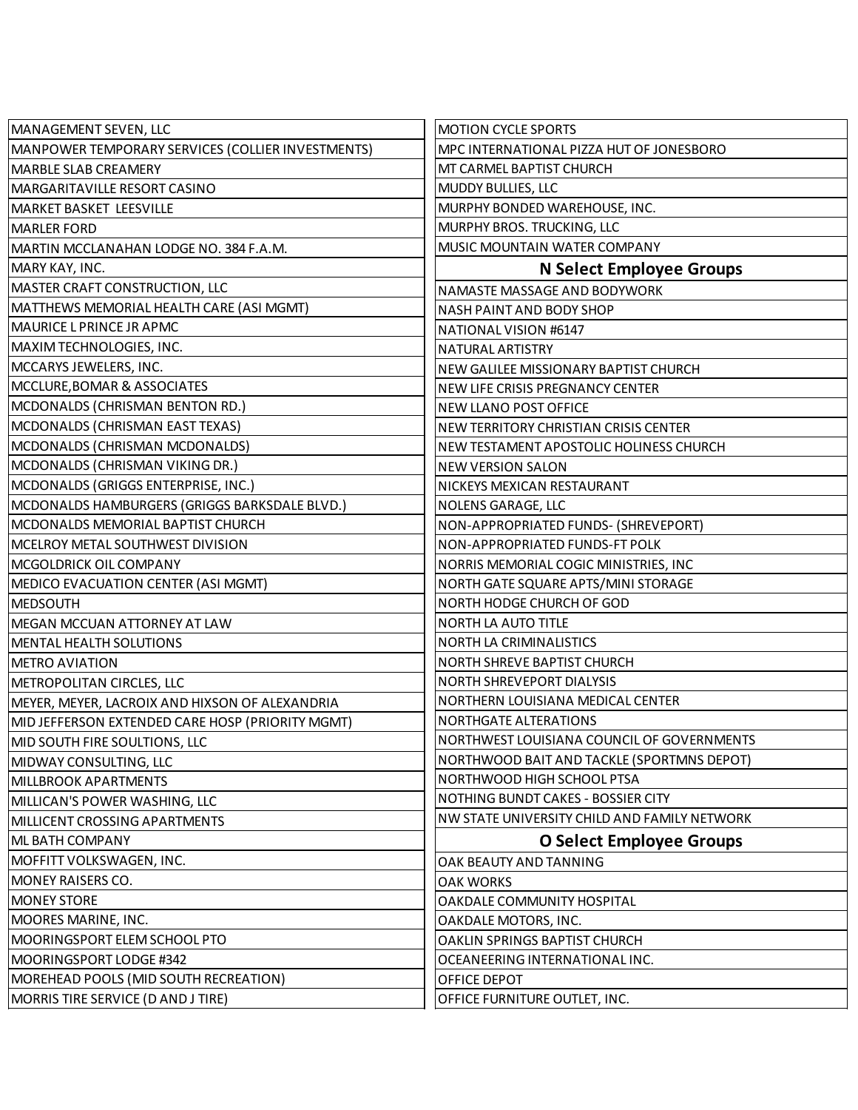| MANAGEMENT SEVEN, LLC                             | <b>MOTION CYCLE SPORTS</b>                   |
|---------------------------------------------------|----------------------------------------------|
| MANPOWER TEMPORARY SERVICES (COLLIER INVESTMENTS) | MPC INTERNATIONAL PIZZA HUT OF JONESBORO     |
| <b>MARBLE SLAB CREAMERY</b>                       | MT CARMEL BAPTIST CHURCH                     |
| MARGARITAVILLE RESORT CASINO                      | MUDDY BULLIES, LLC                           |
| <b>MARKET BASKET LEESVILLE</b>                    | MURPHY BONDED WAREHOUSE, INC.                |
| MARLER FORD                                       | MURPHY BROS. TRUCKING, LLC                   |
| MARTIN MCCLANAHAN LODGE NO. 384 F.A.M.            | MUSIC MOUNTAIN WATER COMPANY                 |
| MARY KAY, INC.                                    | <b>N Select Employee Groups</b>              |
| MASTER CRAFT CONSTRUCTION, LLC                    | NAMASTE MASSAGE AND BODYWORK                 |
| MATTHEWS MEMORIAL HEALTH CARE (ASI MGMT)          | NASH PAINT AND BODY SHOP                     |
| MAURICE L PRINCE JR APMC                          | NATIONAL VISION #6147                        |
| MAXIM TECHNOLOGIES, INC.                          | NATURAL ARTISTRY                             |
| MCCARYS JEWELERS, INC.                            | NEW GALILEE MISSIONARY BAPTIST CHURCH        |
| MCCLURE, BOMAR & ASSOCIATES                       | NEW LIFE CRISIS PREGNANCY CENTER             |
| MCDONALDS (CHRISMAN BENTON RD.)                   | NEW LLANO POST OFFICE                        |
| MCDONALDS (CHRISMAN EAST TEXAS)                   | NEW TERRITORY CHRISTIAN CRISIS CENTER        |
| MCDONALDS (CHRISMAN MCDONALDS)                    | NEW TESTAMENT APOSTOLIC HOLINESS CHURCH      |
| MCDONALDS (CHRISMAN VIKING DR.)                   | <b>NEW VERSION SALON</b>                     |
| MCDONALDS (GRIGGS ENTERPRISE, INC.)               | NICKEYS MEXICAN RESTAURANT                   |
| MCDONALDS HAMBURGERS (GRIGGS BARKSDALE BLVD.)     | NOLENS GARAGE, LLC                           |
| MCDONALDS MEMORIAL BAPTIST CHURCH                 | NON-APPROPRIATED FUNDS- (SHREVEPORT)         |
| MCELROY METAL SOUTHWEST DIVISION                  | NON-APPROPRIATED FUNDS-FT POLK               |
| MCGOLDRICK OIL COMPANY                            | NORRIS MEMORIAL COGIC MINISTRIES, INC        |
| MEDICO EVACUATION CENTER (ASI MGMT)               | NORTH GATE SQUARE APTS/MINI STORAGE          |
| MEDSOUTH                                          | NORTH HODGE CHURCH OF GOD                    |
| MEGAN MCCUAN ATTORNEY AT LAW                      | NORTH LA AUTO TITLE                          |
| MENTAL HEALTH SOLUTIONS                           | <b>NORTH LA CRIMINALISTICS</b>               |
| <b>METRO AVIATION</b>                             | <b>NORTH SHREVE BAPTIST CHURCH</b>           |
| METROPOLITAN CIRCLES, LLC                         | <b>NORTH SHREVEPORT DIALYSIS</b>             |
| MEYER, MEYER, LACROIX AND HIXSON OF ALEXANDRIA    | NORTHERN LOUISIANA MEDICAL CENTER            |
| MID JEFFERSON EXTENDED CARE HOSP (PRIORITY MGMT)  | <b>NORTHGATE ALTERATIONS</b>                 |
| MID SOUTH FIRE SOULTIONS, LLC                     | NORTHWEST LOUISIANA COUNCIL OF GOVERNMENTS   |
| MIDWAY CONSULTING, LLC                            | NORTHWOOD BAIT AND TACKLE (SPORTMNS DEPOT)   |
| <b>MILLBROOK APARTMENTS</b>                       | NORTHWOOD HIGH SCHOOL PTSA                   |
| MILLICAN'S POWER WASHING, LLC                     | NOTHING BUNDT CAKES - BOSSIER CITY           |
| MILLICENT CROSSING APARTMENTS                     | NW STATE UNIVERSITY CHILD AND FAMILY NETWORK |
| ML BATH COMPANY                                   | <b>O Select Employee Groups</b>              |
| MOFFITT VOLKSWAGEN, INC.                          | OAK BEAUTY AND TANNING                       |
| MONEY RAISERS CO.                                 | <b>OAK WORKS</b>                             |
| <b>MONEY STORE</b>                                | OAKDALE COMMUNITY HOSPITAL                   |
| MOORES MARINE, INC.                               | OAKDALE MOTORS, INC.                         |
| MOORINGSPORT ELEM SCHOOL PTO                      | OAKLIN SPRINGS BAPTIST CHURCH                |
| MOORINGSPORT LODGE #342                           | OCEANEERING INTERNATIONAL INC.               |
| MOREHEAD POOLS (MID SOUTH RECREATION)             | OFFICE DEPOT                                 |
| MORRIS TIRE SERVICE (D AND J TIRE)                | OFFICE FURNITURE OUTLET, INC.                |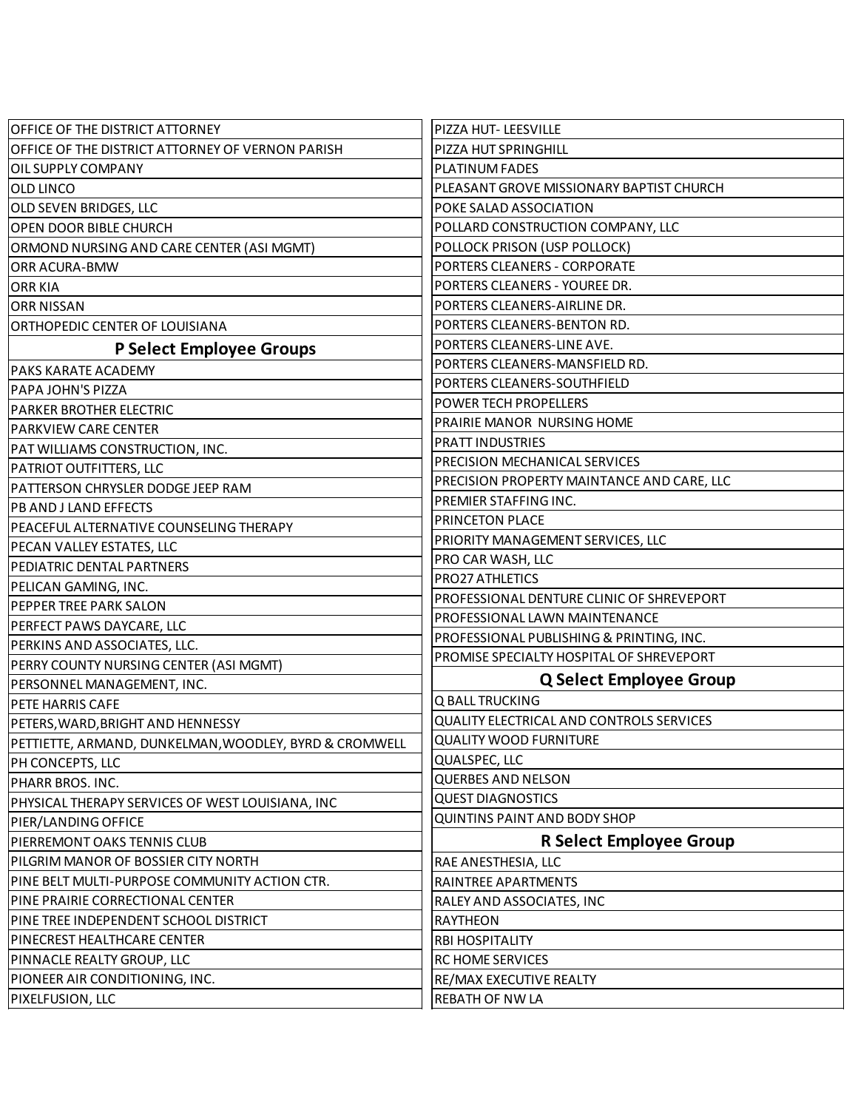| OFFICE OF THE DISTRICT ATTORNEY                       | PIZZA HUT- LEESVILLE                            |
|-------------------------------------------------------|-------------------------------------------------|
| OFFICE OF THE DISTRICT ATTORNEY OF VERNON PARISH      | PIZZA HUT SPRINGHILL                            |
| OIL SUPPLY COMPANY                                    | <b>PLATINUM FADES</b>                           |
| OLD LINCO                                             | PLEASANT GROVE MISSIONARY BAPTIST CHURCH        |
| OLD SEVEN BRIDGES, LLC                                | POKE SALAD ASSOCIATION                          |
| OPEN DOOR BIBLE CHURCH                                | POLLARD CONSTRUCTION COMPANY, LLC               |
| ORMOND NURSING AND CARE CENTER (ASI MGMT)             | POLLOCK PRISON (USP POLLOCK)                    |
| <b>ORR ACURA-BMW</b>                                  | PORTERS CLEANERS - CORPORATE                    |
| <b>ORR KIA</b>                                        | PORTERS CLEANERS - YOUREE DR.                   |
| <b>ORR NISSAN</b>                                     | PORTERS CLEANERS-AIRLINE DR.                    |
| ORTHOPEDIC CENTER OF LOUISIANA                        | PORTERS CLEANERS-BENTON RD.                     |
| P Select Employee Groups                              | PORTERS CLEANERS-LINE AVE.                      |
| <b>PAKS KARATE ACADEMY</b>                            | PORTERS CLEANERS-MANSFIELD RD.                  |
| PAPA JOHN'S PIZZA                                     | PORTERS CLEANERS-SOUTHFIELD                     |
| PARKER BROTHER ELECTRIC                               | <b>POWER TECH PROPELLERS</b>                    |
| <b>PARKVIEW CARE CENTER</b>                           | PRAIRIE MANOR NURSING HOME                      |
| PAT WILLIAMS CONSTRUCTION, INC.                       | PRATT INDUSTRIES                                |
| <b>PATRIOT OUTFITTERS, LLC</b>                        | PRECISION MECHANICAL SERVICES                   |
| PATTERSON CHRYSLER DODGE JEEP RAM                     | PRECISION PROPERTY MAINTANCE AND CARE, LLC      |
| <b>PB AND J LAND EFFECTS</b>                          | PREMIER STAFFING INC.                           |
| PEACEFUL ALTERNATIVE COUNSELING THERAPY               | PRINCETON PLACE                                 |
| PECAN VALLEY ESTATES, LLC                             | PRIORITY MANAGEMENT SERVICES, LLC               |
| PEDIATRIC DENTAL PARTNERS                             | PRO CAR WASH, LLC                               |
| PELICAN GAMING, INC.                                  | PRO27 ATHLETICS                                 |
| PEPPER TREE PARK SALON                                | PROFESSIONAL DENTURE CLINIC OF SHREVEPORT       |
| PERFECT PAWS DAYCARE, LLC                             | PROFESSIONAL LAWN MAINTENANCE                   |
| PERKINS AND ASSOCIATES, LLC.                          | PROFESSIONAL PUBLISHING & PRINTING, INC.        |
| PERRY COUNTY NURSING CENTER (ASI MGMT)                | PROMISE SPECIALTY HOSPITAL OF SHREVEPORT        |
| PERSONNEL MANAGEMENT, INC.                            | <b>Q Select Employee Group</b>                  |
| <b>PETE HARRIS CAFE</b>                               | Q BALL TRUCKING                                 |
| PETERS, WARD, BRIGHT AND HENNESSY                     | <b>QUALITY ELECTRICAL AND CONTROLS SERVICES</b> |
| PETTIETTE, ARMAND, DUNKELMAN,WOODLEY, BYRD & CROMWELL | <b>QUALITY WOOD FURNITURE</b>                   |
| PH CONCEPTS, LLC                                      | QUALSPEC, LLC                                   |
| PHARR BROS. INC.                                      | <b>QUERBES AND NELSON</b>                       |
| PHYSICAL THERAPY SERVICES OF WEST LOUISIANA, INC      | <b>QUEST DIAGNOSTICS</b>                        |
| PIER/LANDING OFFICE                                   | QUINTINS PAINT AND BODY SHOP                    |
| PIERREMONT OAKS TENNIS CLUB                           | <b>R Select Employee Group</b>                  |
| PILGRIM MANOR OF BOSSIER CITY NORTH                   | RAE ANESTHESIA, LLC                             |
| PINE BELT MULTI-PURPOSE COMMUNITY ACTION CTR.         | RAINTREE APARTMENTS                             |
| PINE PRAIRIE CORRECTIONAL CENTER                      | RALEY AND ASSOCIATES, INC                       |
| PINE TREE INDEPENDENT SCHOOL DISTRICT                 | <b>RAYTHEON</b>                                 |
| PINECREST HEALTHCARE CENTER                           | <b>RBI HOSPITALITY</b>                          |
| PINNACLE REALTY GROUP, LLC                            | RC HOME SERVICES                                |
| PIONEER AIR CONDITIONING, INC.                        | RE/MAX EXECUTIVE REALTY                         |
| PIXELFUSION, LLC                                      | <b>REBATH OF NW LA</b>                          |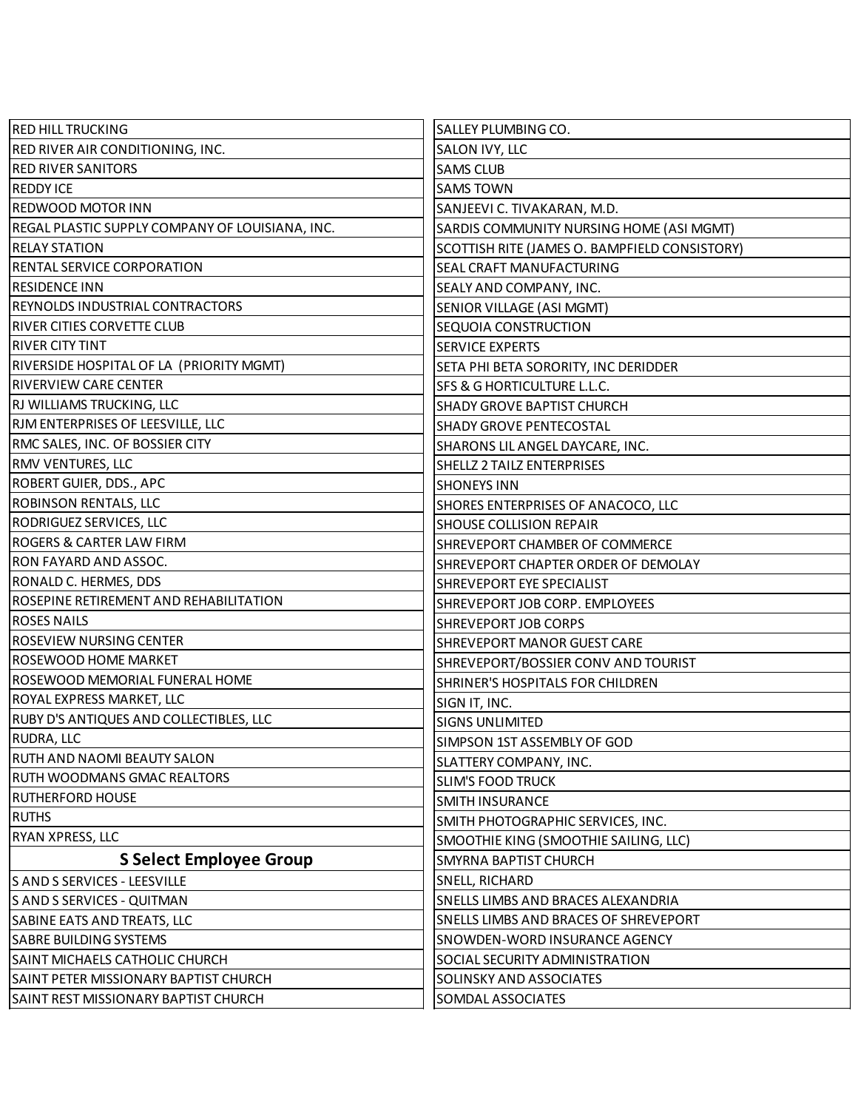| <b>RED HILL TRUCKING</b>                        | SALLEY PLUMBING CO.                           |
|-------------------------------------------------|-----------------------------------------------|
| <b>RED RIVER AIR CONDITIONING, INC.</b>         | SALON IVY, LLC                                |
| <b>RED RIVER SANITORS</b>                       | <b>SAMS CLUB</b>                              |
| <b>REDDY ICE</b>                                | <b>SAMS TOWN</b>                              |
| REDWOOD MOTOR INN                               | SANJEEVI C. TIVAKARAN, M.D.                   |
| REGAL PLASTIC SUPPLY COMPANY OF LOUISIANA, INC. | SARDIS COMMUNITY NURSING HOME (ASI MGMT)      |
| <b>RELAY STATION</b>                            | SCOTTISH RITE (JAMES O. BAMPFIELD CONSISTORY) |
| <b>RENTAL SERVICE CORPORATION</b>               | SEAL CRAFT MANUFACTURING                      |
| <b>RESIDENCE INN</b>                            | SEALY AND COMPANY, INC.                       |
| REYNOLDS INDUSTRIAL CONTRACTORS                 | SENIOR VILLAGE (ASI MGMT)                     |
| RIVER CITIES CORVETTE CLUB                      | SEQUOIA CONSTRUCTION                          |
| RIVER CITY TINT                                 | <b>SERVICE EXPERTS</b>                        |
| RIVERSIDE HOSPITAL OF LA (PRIORITY MGMT)        | SETA PHI BETA SORORITY, INC DERIDDER          |
| <b>RIVERVIEW CARE CENTER</b>                    | SFS & G HORTICULTURE L.L.C.                   |
| RJ WILLIAMS TRUCKING, LLC                       | SHADY GROVE BAPTIST CHURCH                    |
| RJM ENTERPRISES OF LEESVILLE, LLC               | <b>SHADY GROVE PENTECOSTAL</b>                |
| RMC SALES, INC. OF BOSSIER CITY                 | SHARONS LIL ANGEL DAYCARE, INC.               |
| <b>RMV VENTURES, LLC</b>                        | SHELLZ 2 TAILZ ENTERPRISES                    |
| ROBERT GUIER, DDS., APC                         | <b>SHONEYS INN</b>                            |
| <b>ROBINSON RENTALS, LLC</b>                    | SHORES ENTERPRISES OF ANACOCO, LLC            |
| <b>RODRIGUEZ SERVICES, LLC</b>                  | <b>SHOUSE COLLISION REPAIR</b>                |
| ROGERS & CARTER LAW FIRM                        | SHREVEPORT CHAMBER OF COMMERCE                |
| <b>RON FAYARD AND ASSOC.</b>                    | SHREVEPORT CHAPTER ORDER OF DEMOLAY           |
| RONALD C. HERMES, DDS                           | SHREVEPORT EYE SPECIALIST                     |
| ROSEPINE RETIREMENT AND REHABILITATION          | SHREVEPORT JOB CORP. EMPLOYEES                |
| <b>ROSES NAILS</b>                              | <b>SHREVEPORT JOB CORPS</b>                   |
| <b>ROSEVIEW NURSING CENTER</b>                  | <b>SHREVEPORT MANOR GUEST CARE</b>            |
| ROSEWOOD HOME MARKET                            | SHREVEPORT/BOSSIER CONV AND TOURIST           |
| ROSEWOOD MEMORIAL FUNERAL HOME                  | SHRINER'S HOSPITALS FOR CHILDREN              |
| ROYAL EXPRESS MARKET, LLC                       | SIGN IT, INC.                                 |
| RUBY D'S ANTIQUES AND COLLECTIBLES, LLC         | <b>SIGNS UNLIMITED</b>                        |
| <b>RUDRA, LLC</b>                               | SIMPSON 1ST ASSEMBLY OF GOD                   |
| RUTH AND NAOMI BEAUTY SALON                     | SLATTERY COMPANY, INC.                        |
| RUTH WOODMANS GMAC REALTORS                     | <b>SLIM'S FOOD TRUCK</b>                      |
| <b>RUTHERFORD HOUSE</b>                         | <b>SMITH INSURANCE</b>                        |
| <b>RUTHS</b>                                    | SMITH PHOTOGRAPHIC SERVICES, INC.             |
| <b>RYAN XPRESS, LLC</b>                         | SMOOTHIE KING (SMOOTHIE SAILING, LLC)         |
| <b>S Select Employee Group</b>                  | <b>SMYRNA BAPTIST CHURCH</b>                  |
| S AND S SERVICES - LEESVILLE                    | SNELL, RICHARD                                |
| S AND S SERVICES - QUITMAN                      | SNELLS LIMBS AND BRACES ALEXANDRIA            |
| SABINE EATS AND TREATS, LLC                     | SNELLS LIMBS AND BRACES OF SHREVEPORT         |
| <b>SABRE BUILDING SYSTEMS</b>                   | SNOWDEN-WORD INSURANCE AGENCY                 |
| SAINT MICHAELS CATHOLIC CHURCH                  | SOCIAL SECURITY ADMINISTRATION                |
| SAINT PETER MISSIONARY BAPTIST CHURCH           | SOLINSKY AND ASSOCIATES                       |
| SAINT REST MISSIONARY BAPTIST CHURCH            | SOMDAL ASSOCIATES                             |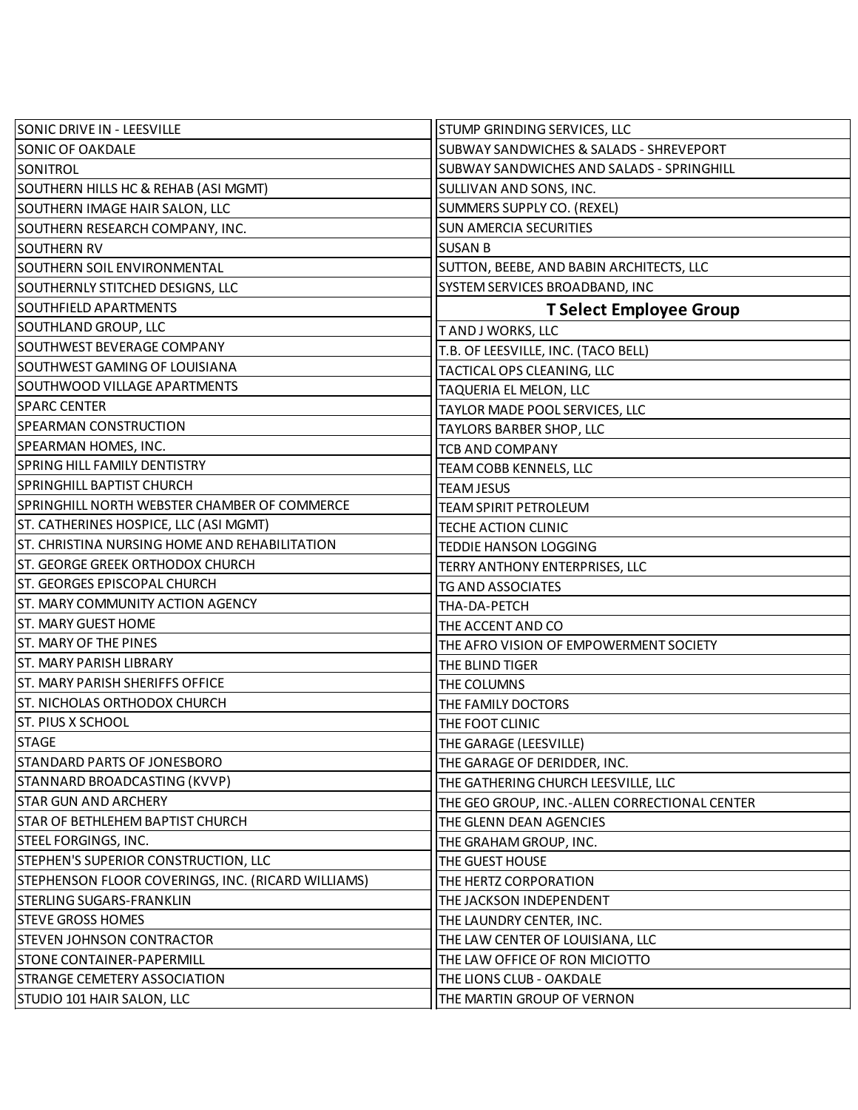| SONIC DRIVE IN - LEESVILLE                         | <b>STUMP GRINDING SERVICES, LLC</b>           |
|----------------------------------------------------|-----------------------------------------------|
| SONIC OF OAKDALE                                   | SUBWAY SANDWICHES & SALADS - SHREVEPORT       |
| SONITROL                                           | SUBWAY SANDWICHES AND SALADS - SPRINGHILL     |
| SOUTHERN HILLS HC & REHAB (ASI MGMT)               | SULLIVAN AND SONS, INC.                       |
| SOUTHERN IMAGE HAIR SALON, LLC                     | SUMMERS SUPPLY CO. (REXEL)                    |
| SOUTHERN RESEARCH COMPANY, INC.                    | <b>SUN AMERCIA SECURITIES</b>                 |
| <b>SOUTHERN RV</b>                                 | <b>SUSAN B</b>                                |
| SOUTHERN SOIL ENVIRONMENTAL                        | SUTTON, BEEBE, AND BABIN ARCHITECTS, LLC      |
| SOUTHERNLY STITCHED DESIGNS, LLC                   | SYSTEM SERVICES BROADBAND, INC                |
| <b>SOUTHFIELD APARTMENTS</b>                       | <b>T Select Employee Group</b>                |
| SOUTHLAND GROUP, LLC                               | TAND J WORKS, LLC                             |
| SOUTHWEST BEVERAGE COMPANY                         | T.B. OF LEESVILLE, INC. (TACO BELL)           |
| SOUTHWEST GAMING OF LOUISIANA                      | TACTICAL OPS CLEANING, LLC                    |
| SOUTHWOOD VILLAGE APARTMENTS                       | TAQUERIA EL MELON, LLC                        |
| <b>SPARC CENTER</b>                                | TAYLOR MADE POOL SERVICES, LLC                |
| SPEARMAN CONSTRUCTION                              | <b>TAYLORS BARBER SHOP, LLC</b>               |
| SPEARMAN HOMES, INC.                               | <b>TCB AND COMPANY</b>                        |
| SPRING HILL FAMILY DENTISTRY                       | TEAM COBB KENNELS, LLC                        |
| <b>SPRINGHILL BAPTIST CHURCH</b>                   | <b>TEAM JESUS</b>                             |
| SPRINGHILL NORTH WEBSTER CHAMBER OF COMMERCE       | <b>TEAM SPIRIT PETROLEUM</b>                  |
| ST. CATHERINES HOSPICE, LLC (ASI MGMT)             | TECHE ACTION CLINIC                           |
| ST. CHRISTINA NURSING HOME AND REHABILITATION      | <b>TEDDIE HANSON LOGGING</b>                  |
| ST. GEORGE GREEK ORTHODOX CHURCH                   | TERRY ANTHONY ENTERPRISES, LLC                |
| ST. GEORGES EPISCOPAL CHURCH                       | <b>TG AND ASSOCIATES</b>                      |
| ST. MARY COMMUNITY ACTION AGENCY                   | THA-DA-PETCH                                  |
| ST. MARY GUEST HOME                                | THE ACCENT AND CO                             |
| ST. MARY OF THE PINES                              | THE AFRO VISION OF EMPOWERMENT SOCIETY        |
| <b>ST. MARY PARISH LIBRARY</b>                     | THE BLIND TIGER                               |
| ST. MARY PARISH SHERIFFS OFFICE                    | THE COLUMNS                                   |
| IST. NICHOLAS ORTHODOX CHURCH                      | THE FAMILY DOCTORS                            |
| ST. PIUS X SCHOOL                                  | THE FOOT CLINIC                               |
| <b>STAGE</b>                                       | THE GARAGE (LEESVILLE)                        |
| STANDARD PARTS OF JONESBORO                        | THE GARAGE OF DERIDDER, INC.                  |
| STANNARD BROADCASTING (KVVP)                       | THE GATHERING CHURCH LEESVILLE, LLC           |
| <b>STAR GUN AND ARCHERY</b>                        | THE GEO GROUP, INC.-ALLEN CORRECTIONAL CENTER |
| STAR OF BETHLEHEM BAPTIST CHURCH                   | THE GLENN DEAN AGENCIES                       |
| STEEL FORGINGS, INC.                               | THE GRAHAM GROUP, INC.                        |
| STEPHEN'S SUPERIOR CONSTRUCTION, LLC               | THE GUEST HOUSE                               |
| STEPHENSON FLOOR COVERINGS, INC. (RICARD WILLIAMS) | THE HERTZ CORPORATION                         |
| STERLING SUGARS-FRANKLIN                           | THE JACKSON INDEPENDENT                       |
| <b>STEVE GROSS HOMES</b>                           | THE LAUNDRY CENTER, INC.                      |
| <b>STEVEN JOHNSON CONTRACTOR</b>                   | THE LAW CENTER OF LOUISIANA, LLC              |
| <b>STONE CONTAINER-PAPERMILL</b>                   | THE LAW OFFICE OF RON MICIOTTO                |
| STRANGE CEMETERY ASSOCIATION                       | THE LIONS CLUB - OAKDALE                      |
| STUDIO 101 HAIR SALON, LLC                         | THE MARTIN GROUP OF VERNON                    |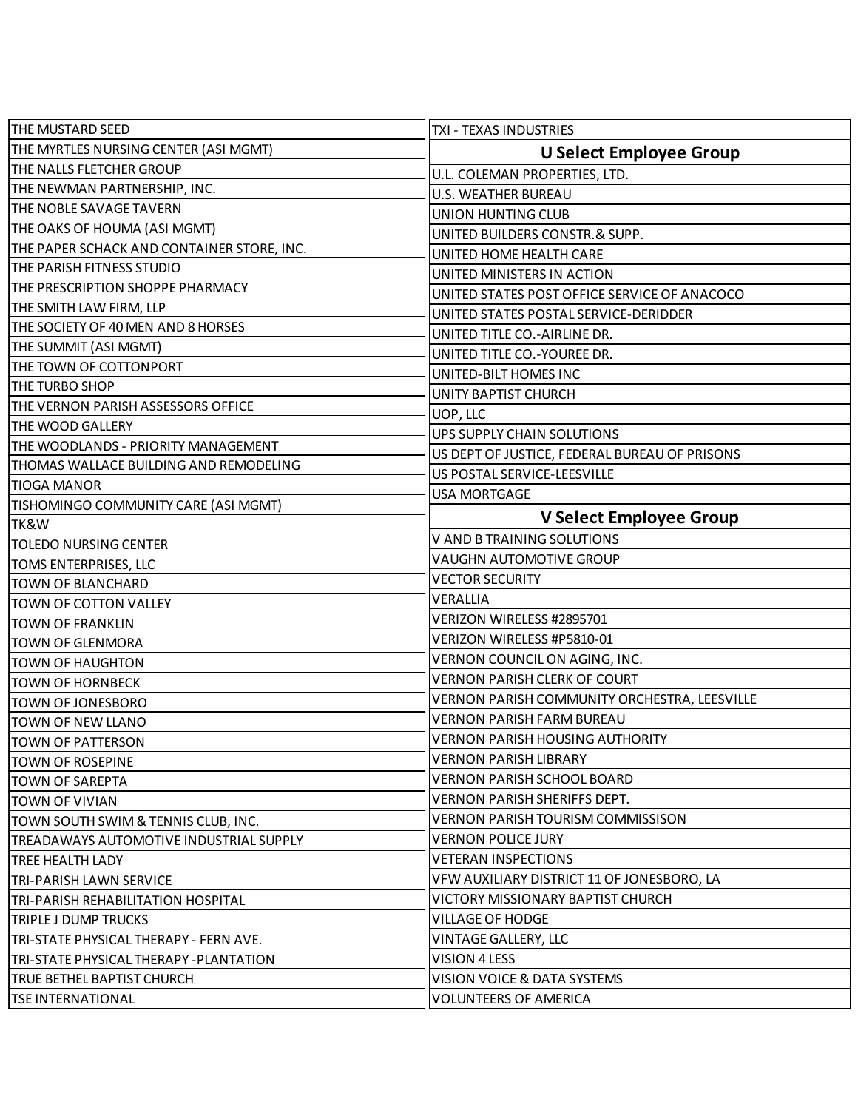| <b>THE MUSTARD SEED</b>                    | <b>TXI - TEXAS INDUSTRIES</b>                 |
|--------------------------------------------|-----------------------------------------------|
| THE MYRTLES NURSING CENTER (ASI MGMT)      | <b>U Select Employee Group</b>                |
| THE NALLS FLETCHER GROUP                   | U.L. COLEMAN PROPERTIES, LTD.                 |
| THE NEWMAN PARTNERSHIP, INC.               | <b>U.S. WEATHER BUREAU</b>                    |
| <b>THE NOBLE SAVAGE TAVERN</b>             | UNION HUNTING CLUB                            |
| THE OAKS OF HOUMA (ASI MGMT)               | UNITED BUILDERS CONSTR.& SUPP.                |
| THE PAPER SCHACK AND CONTAINER STORE, INC. | UNITED HOME HEALTH CARE                       |
| THE PARISH FITNESS STUDIO                  | UNITED MINISTERS IN ACTION                    |
| THE PRESCRIPTION SHOPPE PHARMACY           | UNITED STATES POST OFFICE SERVICE OF ANACOCO  |
| THE SMITH LAW FIRM, LLP                    | UNITED STATES POSTAL SERVICE-DERIDDER         |
| THE SOCIETY OF 40 MEN AND 8 HORSES         | UNITED TITLE CO.-AIRLINE DR.                  |
| THE SUMMIT (ASI MGMT)                      | UNITED TITLE CO.-YOUREE DR.                   |
| THE TOWN OF COTTONPORT                     | UNITED-BILT HOMES INC                         |
| <b>THE TURBO SHOP</b>                      | UNITY BAPTIST CHURCH                          |
| THE VERNON PARISH ASSESSORS OFFICE         | UOP, LLC                                      |
| THE WOOD GALLERY                           | UPS SUPPLY CHAIN SOLUTIONS                    |
| THE WOODLANDS - PRIORITY MANAGEMENT        | US DEPT OF JUSTICE, FEDERAL BUREAU OF PRISONS |
| THOMAS WALLACE BUILDING AND REMODELING     | US POSTAL SERVICE-LEESVILLE                   |
| <b>TIOGA MANOR</b>                         | USA MORTGAGE                                  |
| TISHOMINGO COMMUNITY CARE (ASI MGMT)       |                                               |
| TK&W                                       | V Select Employee Group                       |
| <b>TOLEDO NURSING CENTER</b>               | V AND B TRAINING SOLUTIONS                    |
| <b>TOMS ENTERPRISES, LLC</b>               | <b>VAUGHN AUTOMOTIVE GROUP</b>                |
| <b>TOWN OF BLANCHARD</b>                   | <b>VECTOR SECURITY</b>                        |
| TOWN OF COTTON VALLEY                      | VERALLIA                                      |
| <b>TOWN OF FRANKLIN</b>                    | VERIZON WIRELESS #2895701                     |
| <b>TOWN OF GLENMORA</b>                    | VERIZON WIRELESS #P5810-01                    |
| TOWN OF HAUGHTON                           | VERNON COUNCIL ON AGING, INC.                 |
| TOWN OF HORNBECK                           | <b>VERNON PARISH CLERK OF COURT</b>           |
| TOWN OF JONESBORO                          | VERNON PARISH COMMUNITY ORCHESTRA, LEESVILLE  |
| TOWN OF NEW LLANO                          | <b>VERNON PARISH FARM BUREAU</b>              |
| <b>TOWN OF PATTERSON</b>                   | <b>VERNON PARISH HOUSING AUTHORITY</b>        |
| TOWN OF ROSEPINE                           | VERNON PARISH LIBRARY                         |
| ITOWN OF SAREPTA                           | <b>VERNON PARISH SCHOOL BOARD</b>             |
| TOWN OF VIVIAN                             | <b>VERNON PARISH SHERIFFS DEPT.</b>           |
| TOWN SOUTH SWIM & TENNIS CLUB, INC.        | <b>VERNON PARISH TOURISM COMMISSISON</b>      |
| TREADAWAYS AUTOMOTIVE INDUSTRIAL SUPPLY    | <b>VERNON POLICE JURY</b>                     |
| <b>TREE HEALTH LADY</b>                    | <b>VETERAN INSPECTIONS</b>                    |
| TRI-PARISH LAWN SERVICE                    | VFW AUXILIARY DISTRICT 11 OF JONESBORO, LA    |
| TRI-PARISH REHABILITATION HOSPITAL         | VICTORY MISSIONARY BAPTIST CHURCH             |
| TRIPLE J DUMP TRUCKS                       | VILLAGE OF HODGE                              |
| TRI-STATE PHYSICAL THERAPY - FERN AVE.     | <b>VINTAGE GALLERY, LLC</b>                   |
| TRI-STATE PHYSICAL THERAPY - PLANTATION    | VISION 4 LESS                                 |
| <b>TRUE BETHEL BAPTIST CHURCH</b>          | VISION VOICE & DATA SYSTEMS                   |
| TSE INTERNATIONAL                          | <b>VOLUNTEERS OF AMERICA</b>                  |